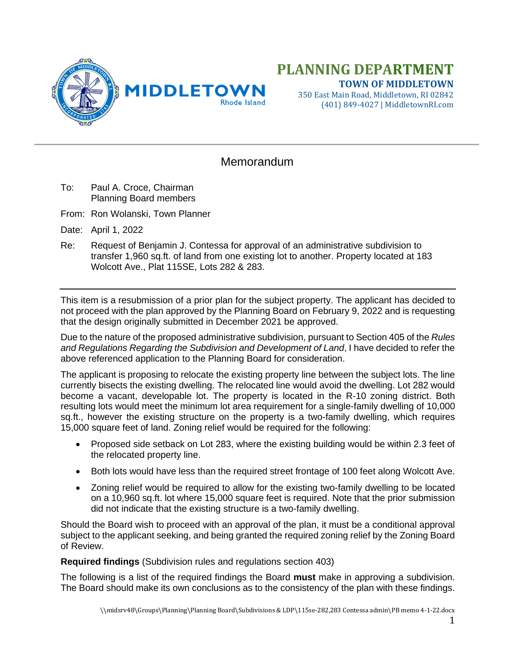

## **PLANNING DEPARTMENT TOWN OF MIDDLETOWN**

350 East Main Road, Middletown, RI 02842 (401) 849-4027 | MiddletownRI.com

## **Memorandum**

- To: Paul A. Croce, Chairman Planning Board members
- From: Ron Wolanski, Town Planner

Date: April 1, 2022

Re: Request of Benjamin J. Contessa for approval of an administrative subdivision to transfer 1,960 sq.ft. of land from one existing lot to another. Property located at 183 Wolcott Ave., Plat 115SE, Lots 282 & 283.

This item is a resubmission of a prior plan for the subject property. The applicant has decided to not proceed with the plan approved by the Planning Board on February 9, 2022 and is requesting that the design originally submitted in December 2021 be approved.

Due to the nature of the proposed administrative subdivision, pursuant to Section 405 of the *Rules and Regulations Regarding the Subdivision and Development of Land*, I have decided to refer the above referenced application to the Planning Board for consideration.

The applicant is proposing to relocate the existing property line between the subject lots. The line currently bisects the existing dwelling. The relocated line would avoid the dwelling. Lot 282 would become a vacant, developable lot. The property is located in the R-10 zoning district. Both resulting lots would meet the minimum lot area requirement for a single-family dwelling of 10,000 sq.ft., however the existing structure on the property is a two-family dwelling, which requires 15,000 square feet of land. Zoning relief would be required for the following:

- Proposed side setback on Lot 283, where the existing building would be within 2.3 feet of the relocated property line.
- Both lots would have less than the required street frontage of 100 feet along Wolcott Ave.
- Zoning relief would be required to allow for the existing two-family dwelling to be located on a 10,960 sq.ft. lot where 15,000 square feet is required. Note that the prior submission did not indicate that the existing structure is a two-family dwelling.

Should the Board wish to proceed with an approval of the plan, it must be a conditional approval subject to the applicant seeking, and being granted the required zoning relief by the Zoning Board of Review.

**Required findings** (Subdivision rules and regulations section 403)

The following is a list of the required findings the Board **must** make in approving a subdivision. The Board should make its own conclusions as to the consistency of the plan with these findings.